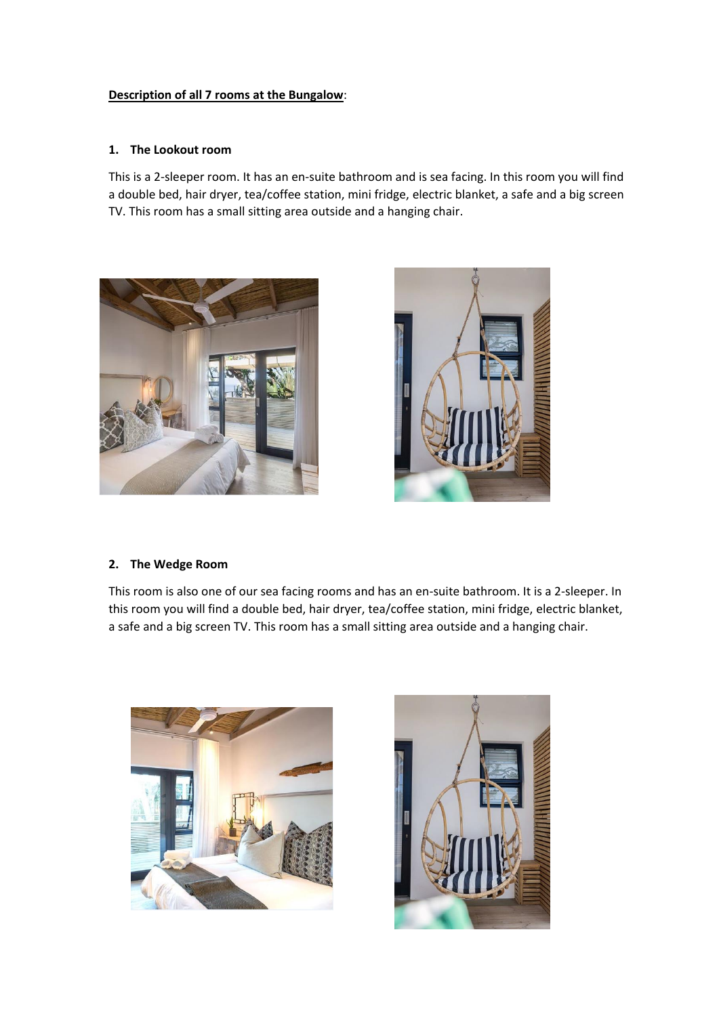## **Description of all 7 rooms at the Bungalow**:

#### **1. The Lookout room**

This is a 2-sleeper room. It has an en-suite bathroom and is sea facing. In this room you will find a double bed, hair dryer, tea/coffee station, mini fridge, electric blanket, a safe and a big screen TV. This room has a small sitting area outside and a hanging chair.





#### **2. The Wedge Room**

This room is also one of our sea facing rooms and has an en-suite bathroom. It is a 2-sleeper. In this room you will find a double bed, hair dryer, tea/coffee station, mini fridge, electric blanket, a safe and a big screen TV. This room has a small sitting area outside and a hanging chair.



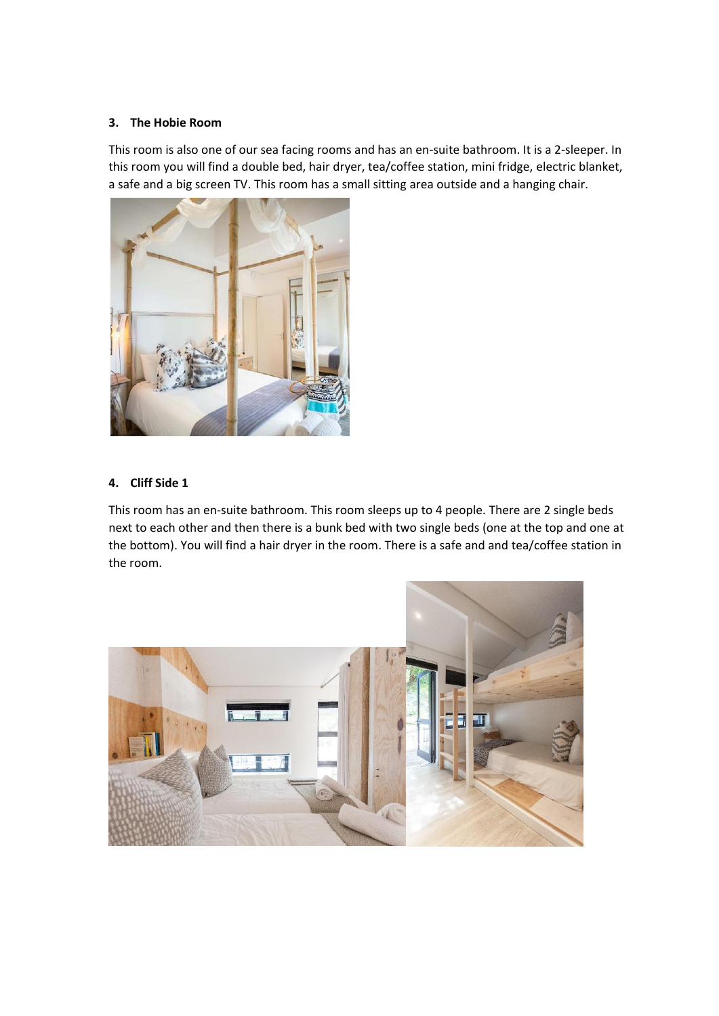## **3. The Hobie Room**

This room is also one of our sea facing rooms and has an en-suite bathroom. It is a 2-sleeper. In this room you will find a double bed, hair dryer, tea/coffee station, mini fridge, electric blanket, a safe and a big screen TV. This room has a small sitting area outside and a hanging chair.



## **4. Cliff Side 1**

This room has an en-suite bathroom. This room sleeps up to 4 people. There are 2 single beds next to each other and then there is a bunk bed with two single beds (one at the top and one at the bottom). You will find a hair dryer in the room. There is a safe and and tea/coffee station in the room.

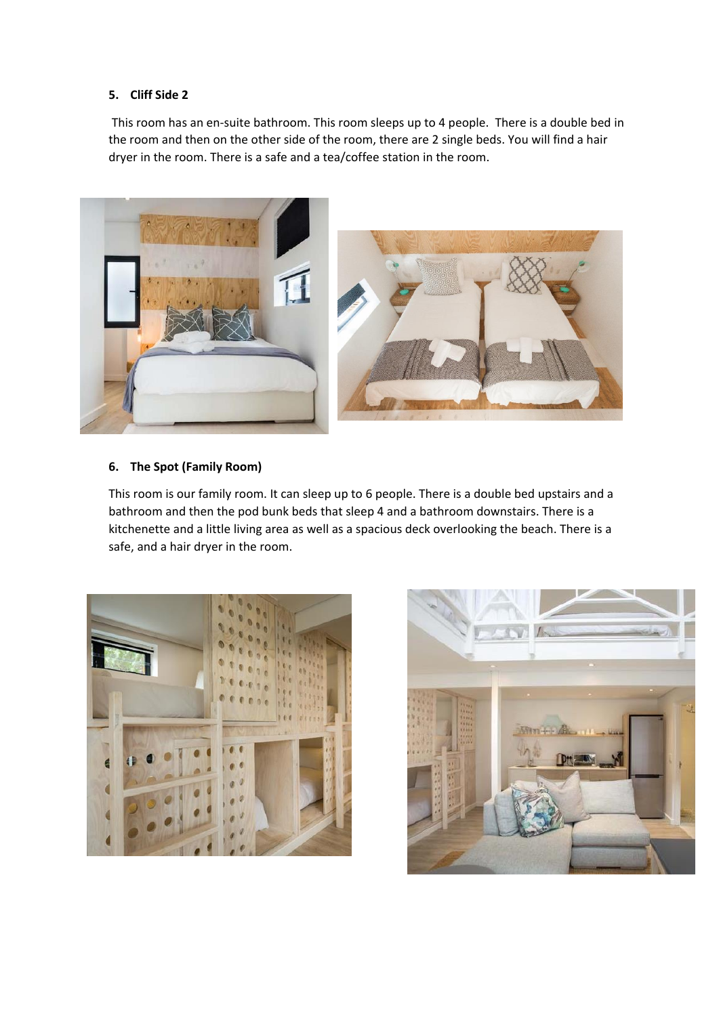## **5. Cliff Side 2**

This room has an en-suite bathroom. This room sleeps up to 4 people. There is a double bed in the room and then on the other side of the room, there are 2 single beds. You will find a hair dryer in the room. There is a safe and a tea/coffee station in the room.



## **6. The Spot (Family Room)**

This room is our family room. It can sleep up to 6 people. There is a double bed upstairs and a bathroom and then the pod bunk beds that sleep 4 and a bathroom downstairs. There is a kitchenette and a little living area as well as a spacious deck overlooking the beach. There is a safe, and a hair dryer in the room.



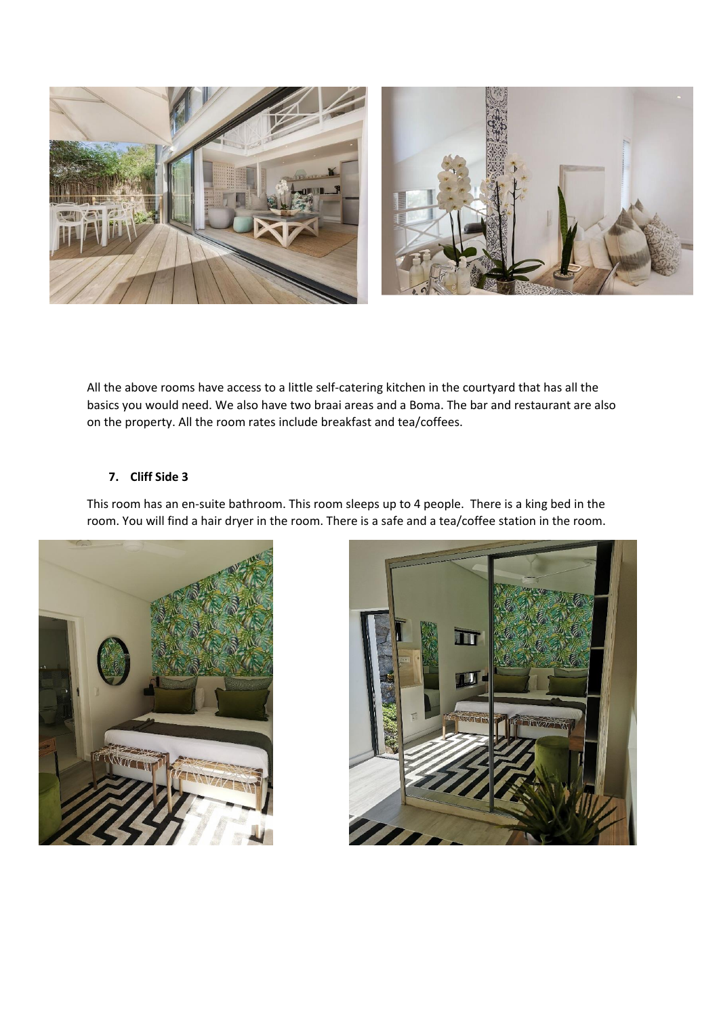

All the above rooms have access to a little self-catering kitchen in the courtyard that has all the basics you would need. We also have two braai areas and a Boma. The bar and restaurant are also on the property. All the room rates include breakfast and tea/coffees.

# **7. Cliff Side 3**

This room has an en-suite bathroom. This room sleeps up to 4 people. There is a king bed in the room. You will find a hair dryer in the room. There is a safe and a tea/coffee station in the room.